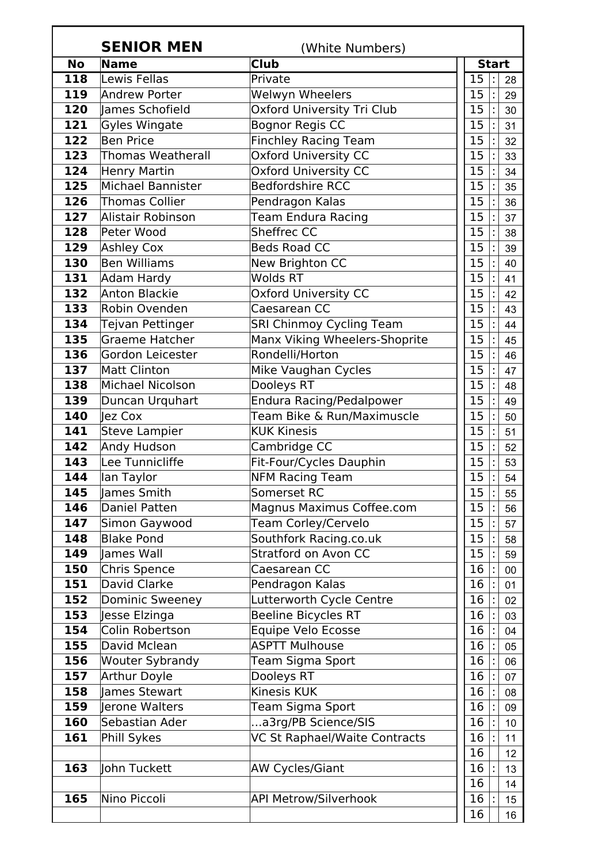|            | <b>SENIOR MEN</b>               | (White Numbers)                                      |  |              |  |          |
|------------|---------------------------------|------------------------------------------------------|--|--------------|--|----------|
| <b>No</b>  | Name                            | <b>Club</b>                                          |  | <b>Start</b> |  |          |
| 118        | Lewis Fellas                    | Private                                              |  | 15           |  | 28       |
| 119        | <b>Andrew Porter</b>            | Welwyn Wheelers                                      |  | 15           |  | 29       |
| 120        | lames Schofield                 | Oxford University Tri Club                           |  | 15           |  | 30       |
| 121        | Gyles Wingate                   | <b>Bognor Regis CC</b>                               |  | 15           |  | 31       |
| 122        | Ben Price                       | <b>Finchley Racing Team</b>                          |  | 15           |  | 32       |
| 123        | <b>Thomas Weatherall</b>        | <b>Oxford University CC</b>                          |  | 15           |  | 33       |
| 124        | Henry Martin                    | <b>Oxford University CC</b>                          |  | 15           |  | 34       |
| 125        | Michael Bannister               | <b>Bedfordshire RCC</b>                              |  | 15           |  | 35       |
| 126        | Thomas Collier                  | Pendragon Kalas                                      |  | 15           |  | 36       |
| 127        | Alistair Robinson               | Team Endura Racing                                   |  | 15           |  | 37       |
| 128        | Peter Wood                      | <b>Sheffrec CC</b>                                   |  | 15           |  | 38       |
| 129        | <b>Ashley Cox</b>               | <b>Beds Road CC</b>                                  |  | 15           |  | 39       |
| 130        | Ben Williams                    | New Brighton CC                                      |  | 15           |  | 40       |
| 131        | Adam Hardy                      | <b>Wolds RT</b>                                      |  | 15           |  | 41       |
| 132        | Anton Blackie                   | <b>Oxford University CC</b>                          |  | 15           |  | 42       |
| 133        | Robin Ovenden                   | Caesarean CC                                         |  | 15           |  | 43       |
| 134        | Tejvan Pettinger                | SRI Chinmoy Cycling Team                             |  | 15           |  | 44       |
| 135        | Graeme Hatcher                  | Manx Viking Wheelers-Shoprite                        |  | 15           |  | 45       |
| 136        | Gordon Leicester                | Rondelli/Horton                                      |  | 15           |  | 46       |
| 137        | <b>Matt Clinton</b>             | Mike Vaughan Cycles                                  |  | 15           |  | 47       |
| 138        | Michael Nicolson                | Dooleys RT                                           |  | 15           |  | 48       |
| 139        | Duncan Urquhart                 | <b>Endura Racing/Pedalpower</b>                      |  | 15           |  | 49       |
| 140        | lez Cox                         | Team Bike & Run/Maximuscle                           |  | 15           |  | 50       |
| 141        | Steve Lampier                   | <b>KUK Kinesis</b>                                   |  | 15           |  | 51       |
| 142        | Andy Hudson                     | Cambridge CC                                         |  | 15           |  | 52       |
| 143        | Lee Tunnicliffe                 | Fit-Four/Cycles Dauphin                              |  | 15           |  | 53       |
| 144        | lan Taylor                      | <b>NFM Racing Team</b>                               |  | 15           |  | 54       |
| 145        | James Smith                     | Somerset RC                                          |  | 15           |  | 55       |
| 146        | Daniel Patten                   | <b>Magnus Maximus Coffee.com</b>                     |  | 15           |  | 56       |
| 147        | Simon Gaywood                   | Team Corley/Cervelo                                  |  | 15           |  | 57       |
| 148        | <b>Blake Pond</b>               | Southfork Racing.co.uk                               |  | 15           |  | 58       |
| 149        | James Wall                      | <b>Stratford on Avon CC</b>                          |  | 15           |  | 59       |
| 150        | Chris Spence                    | Caesarean CC                                         |  | 16           |  | 00       |
| 151        | David Clarke                    | Pendragon Kalas                                      |  | 16           |  | 01       |
| 152        | <b>Dominic Sweeney</b>          | Lutterworth Cycle Centre                             |  | 16           |  | 02       |
| 153        | Jesse Elzinga                   | <b>Beeline Bicycles RT</b>                           |  | 16           |  | 03       |
| 154        | Colin Robertson                 | Equipe Velo Ecosse                                   |  | 16           |  | 04       |
| 155        | David Mclean                    | <b>ASPTT Mulhouse</b>                                |  | 16           |  | 05       |
| 156        | <b>Wouter Sybrandy</b>          | Team Sigma Sport                                     |  | 16           |  | 06       |
| 157        | <b>Arthur Doyle</b>             | Dooleys RT<br>Kinesis KUK                            |  | 16           |  | 07       |
| 158<br>159 | lames Stewart<br>lerone Walters |                                                      |  | 16<br>16     |  | 08       |
| 160        | Sebastian Ader                  | Team Sigma Sport                                     |  | 16           |  | 09       |
| 161        | Phill Sykes                     | a3rg/PB Science/SIS<br>VC St Raphael/Waite Contracts |  | 16           |  | 10       |
|            |                                 |                                                      |  | 16           |  | 11       |
| 163        | John Tuckett                    | <b>AW Cycles/Giant</b>                               |  | 16           |  | 12<br>13 |
|            |                                 |                                                      |  | 16           |  | 14       |
| 165        | Nino Piccoli                    | <b>API Metrow/Silverhook</b>                         |  | 16           |  | 15       |
|            |                                 |                                                      |  | 16           |  | 16       |
|            |                                 |                                                      |  |              |  |          |